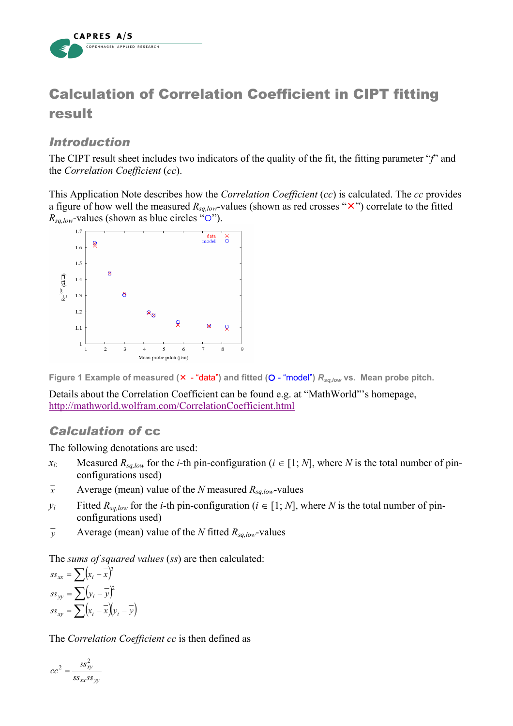

## Calculation of Correlation Coefficient in CIPT fitting result

## *Introduction*

The CIPT result sheet includes two indicators of the quality of the fit, the fitting parameter "*f*" and the *Correlation Coefficient* (*cc*).

This Application Note describes how the *Correlation Coefficient* (*cc*) is calculated. The *cc* provides a figure of how well the measured  $R_{sa,low}$ -values (shown as red crosses " $\times$ ") correlate to the fitted  $R_{sq,low}$ -values (shown as blue circles " $\circ$ ").



Figure 1 Example of measured ( $\times$  - "data") and fitted (O - "model")  $R_{sq,low}$  vs. Mean probe pitch.

Details about the Correlation Coefficient can be found e.g. at "MathWorld"'s homepage, http://mathworld.wolfram.com/CorrelationCoefficient.html

## *Calculation of* cc

The following denotations are used:

- *x<sub>i</sub>*: Measured  $R_{sq,low}$  for the *i*-th pin-configuration ( $i \in [1; N]$ , where *N* is the total number of pinconfigurations used)
- $\bar{x}$  Average (mean) value of the *N* measured  $R_{sa,low}$ -values
- *y<sub>i</sub>* Fitted  $R_{sq,low}$  for the *i*-th pin-configuration ( $i \in [1; N]$ , where *N* is the total number of pinconfigurations used)
- $\bar{y}$  Average (mean) value of the *N* fitted  $R_{sa,low}$ -values

The *sums of squared values* (*ss*) are then calculated:

 $ss_{xx} = \sum (x_i - \overline{x})$  $ss_{yy} = \sum (y_i - \overline{y})$  $ss_{xy} = \sum (x_i - \overline{x})(y_i - \overline{y})$ 2 2

The *Correlation Coefficient cc* is then defined as

$$
cc^2 = \frac{ss_{xy}^2}{ss_{xx}ss_{yy}}
$$